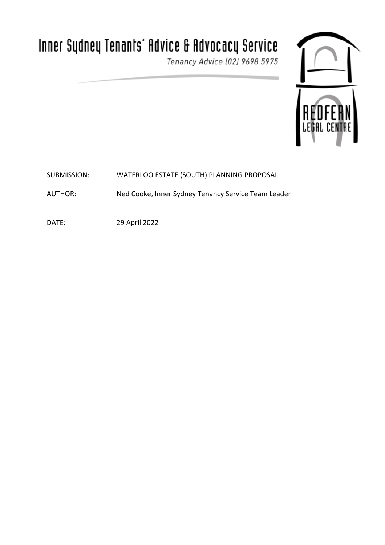# Inner Sydney Tenants' Advice & Advocacy Service

Tenancy Advice (02) 9698 5975



SUBMISSION: WATERLOO ESTATE (SOUTH) PLANNING PROPOSAL

AUTHOR: Ned Cooke, Inner Sydney Tenancy Service Team Leader

DATE: 29 April 2022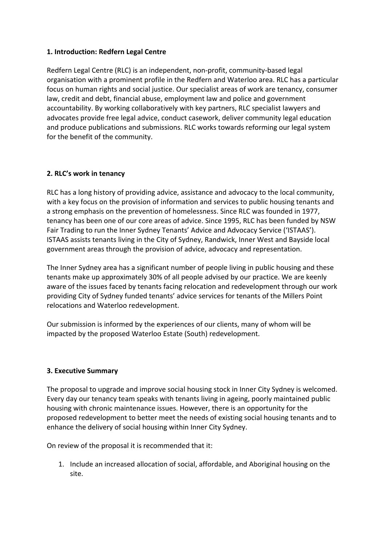## **1. Introduction: Redfern Legal Centre**

Redfern Legal Centre (RLC) is an independent, non-profit, community-based legal organisation with a prominent profile in the Redfern and Waterloo area. RLC has a particular focus on human rights and social justice. Our specialist areas of work are tenancy, consumer law, credit and debt, financial abuse, employment law and police and government accountability. By working collaboratively with key partners, RLC specialist lawyers and advocates provide free legal advice, conduct casework, deliver community legal education and produce publications and submissions. RLC works towards reforming our legal system for the benefit of the community.

### **2. RLC's work in tenancy**

RLC has a long history of providing advice, assistance and advocacy to the local community, with a key focus on the provision of information and services to public housing tenants and a strong emphasis on the prevention of homelessness. Since RLC was founded in 1977, tenancy has been one of our core areas of advice. Since 1995, RLC has been funded by NSW Fair Trading to run the Inner Sydney Tenants' Advice and Advocacy Service ('ISTAAS'). ISTAAS assists tenants living in the City of Sydney, Randwick, Inner West and Bayside local government areas through the provision of advice, advocacy and representation.

The Inner Sydney area has a significant number of people living in public housing and these tenants make up approximately 30% of all people advised by our practice. We are keenly aware of the issues faced by tenants facing relocation and redevelopment through our work providing City of Sydney funded tenants' advice services for tenants of the Millers Point relocations and Waterloo redevelopment.

Our submission is informed by the experiences of our clients, many of whom will be impacted by the proposed Waterloo Estate (South) redevelopment.

#### **3. Executive Summary**

The proposal to upgrade and improve social housing stock in Inner City Sydney is welcomed. Every day our tenancy team speaks with tenants living in ageing, poorly maintained public housing with chronic maintenance issues. However, there is an opportunity for the proposed redevelopment to better meet the needs of existing social housing tenants and to enhance the delivery of social housing within Inner City Sydney.

On review of the proposal it is recommended that it:

1. Include an increased allocation of social, affordable, and Aboriginal housing on the site.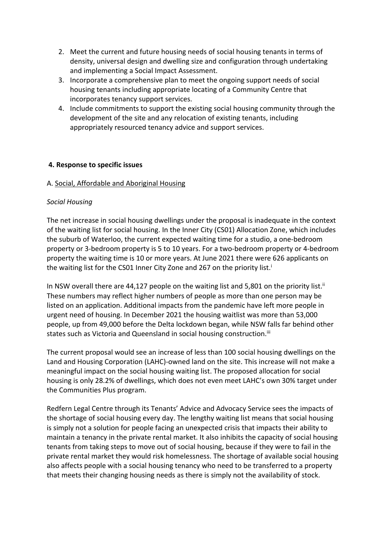- 2. Meet the current and future housing needs of social housing tenants in terms of density, universal design and dwelling size and configuration through undertaking and implementing a Social Impact Assessment.
- 3. Incorporate a comprehensive plan to meet the ongoing support needs of social housing tenants including appropriate locating of a Community Centre that incorporates tenancy support services.
- 4. Include commitments to support the existing social housing community through the development of the site and any relocation of existing tenants, including appropriately resourced tenancy advice and support services.

# **4. Response to specific issues**

### A. Social, Affordable and Aboriginal Housing

### *Social Housing*

The net increase in social housing dwellings under the proposal is inadequate in the context of the waiting list for social housing. In the Inner City (CS01) Allocation Zone, which includes the suburb of Waterloo, the current expected waiting time for a studio, a one-bedroom property or 3-bedroom property is 5 to 10 years. For a two-bedroom property or 4-bedroom property the waiting time is 10 or more years. At June 2021 there were 626 applicants on the waiting list for the CS01 Inner City Zone and 267 on the priority list.<sup>i</sup>

In NSW overall there are 44,127 people on the waiting list and 5,801 on the priority list.<sup>ii</sup> These numbers may reflect higher numbers of people as more than one person may be listed on an application. Additional impacts from the pandemic have left more people in urgent need of housing. In December 2021 the housing waitlist was more than 53,000 people, up from 49,000 before the Delta lockdown began, while NSW falls far behind other states such as Victoria and Queensland in social housing construction.<sup>iii</sup>

The current proposal would see an increase of less than 100 social housing dwellings on the Land and Housing Corporation (LAHC)-owned land on the site. This increase will not make a meaningful impact on the social housing waiting list. The proposed allocation for social housing is only 28.2% of dwellings, which does not even meet LAHC's own 30% target under the Communities Plus program.

Redfern Legal Centre through its Tenants' Advice and Advocacy Service sees the impacts of the shortage of social housing every day. The lengthy waiting list means that social housing is simply not a solution for people facing an unexpected crisis that impacts their ability to maintain a tenancy in the private rental market. It also inhibits the capacity of social housing tenants from taking steps to move out of social housing, because if they were to fail in the private rental market they would risk homelessness. The shortage of available social housing also affects people with a social housing tenancy who need to be transferred to a property that meets their changing housing needs as there is simply not the availability of stock.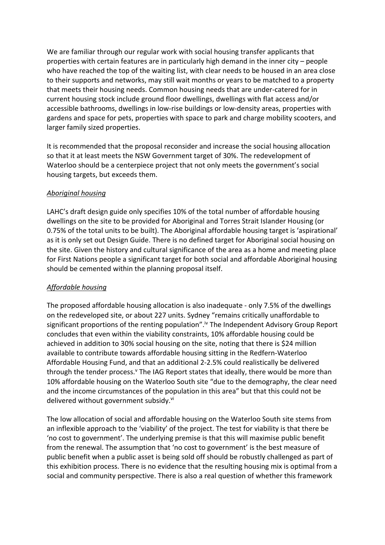We are familiar through our regular work with social housing transfer applicants that properties with certain features are in particularly high demand in the inner city – people who have reached the top of the waiting list, with clear needs to be housed in an area close to their supports and networks, may still wait months or years to be matched to a property that meets their housing needs. Common housing needs that are under-catered for in current housing stock include ground floor dwellings, dwellings with flat access and/or accessible bathrooms, dwellings in low-rise buildings or low-density areas, properties with gardens and space for pets, properties with space to park and charge mobility scooters, and larger family sized properties.

It is recommended that the proposal reconsider and increase the social housing allocation so that it at least meets the NSW Government target of 30%. The redevelopment of Waterloo should be a centerpiece project that not only meets the government's social housing targets, but exceeds them.

### *Aboriginal housing*

LAHC's draft design guide only specifies 10% of the total number of affordable housing dwellings on the site to be provided for Aboriginal and Torres Strait Islander Housing (or 0.75% of the total units to be built). The Aboriginal affordable housing target is 'aspirational' as it is only set out Design Guide. There is no defined target for Aboriginal social housing on the site. Given the history and cultural significance of the area as a home and meeting place for First Nations people a significant target for both social and affordable Aboriginal housing should be cemented within the planning proposal itself.

#### *Affordable housing*

The proposed affordable housing allocation is also inadequate - only 7.5% of the dwellings on the redeveloped site, or about 227 units. Sydney "remains critically unaffordable to significant proportions of the renting population".iv The Independent Advisory Group Report concludes that even within the viability constraints, 10% affordable housing could be achieved in addition to 30% social housing on the site, noting that there is \$24 million available to contribute towards affordable housing sitting in the Redfern-Waterloo Affordable Housing Fund, and that an additional 2-2.5% could realistically be delivered through the tender process.<sup>v</sup> The IAG Report states that ideally, there would be more than 10% affordable housing on the Waterloo South site "due to the demography, the clear need and the income circumstances of the population in this area" but that this could not be delivered without government subsidy.<sup>vi</sup>

The low allocation of social and affordable housing on the Waterloo South site stems from an inflexible approach to the 'viability' of the project. The test for viability is that there be 'no cost to government'. The underlying premise is that this will maximise public benefit from the renewal. The assumption that 'no cost to government' is the best measure of public benefit when a public asset is being sold off should be robustly challenged as part of this exhibition process. There is no evidence that the resulting housing mix is optimal from a social and community perspective. There is also a real question of whether this framework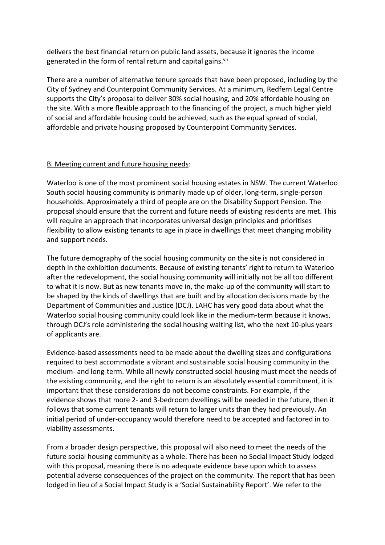delivers the best financial return on public land assets, because it ignores the income generated in the form of rental return and capital gains.<sup>vii</sup>

There are a number of alternative tenure spreads that have been proposed, including by the City of Sydney and Counterpoint Community Services. At a minimum, Redfern Legal Centre supports the City's proposal to deliver 30% social housing, and 20% affordable housing on the site. With a more flexible approach to the financing of the project, a much higher yield of social and affordable housing could be achieved, such as the equal spread of social, affordable and private housing proposed by Counterpoint Community Services.

### B. Meeting current and future housing needs:

Waterloo is one of the most prominent social housing estates in NSW. The current Waterloo South social housing community is primarily made up of older, long-term, single-person households. Approximately a third of people are on the Disability Support Pension. The proposal should ensure that the current and future needs of existing residents are met. This will require an approach that incorporates universal design principles and prioritises flexibility to allow existing tenants to age in place in dwellings that meet changing mobility and support needs.

The future demography of the social housing community on the site is not considered in depth in the exhibition documents. Because of existing tenants' right to return to Waterloo after the redevelopment, the social housing community will initially not be all too different to what it is now. But as new tenants move in, the make-up of the community will start to be shaped by the kinds of dwellings that are built and by allocation decisions made by the Department of Communities and Justice (DCJ). LAHC has very good data about what the Waterloo social housing community could look like in the medium-term because it knows, through DCJ's role administering the social housing waiting list, who the next 10-plus years of applicants are.

Evidence-based assessments need to be made about the dwelling sizes and configurations required to best accommodate a vibrant and sustainable social housing community in the medium- and long-term. While all newly constructed social housing must meet the needs of the existing community, and the right to return is an absolutely essential commitment, it is important that these considerations do not become constraints. For example, if the evidence shows that more 2- and 3-bedroom dwellings will be needed in the future, then it follows that some current tenants will return to larger units than they had previously. An initial period of under-occupancy would therefore need to be accepted and factored in to viability assessments.

From a broader design perspective, this proposal will also need to meet the needs of the future social housing community as a whole. There has been no Social Impact Study lodged with this proposal, meaning there is no adequate evidence base upon which to assess potential adverse consequences of the project on the community. The report that has been lodged in lieu of a Social Impact Study is a 'Social Sustainability Report'. We refer to the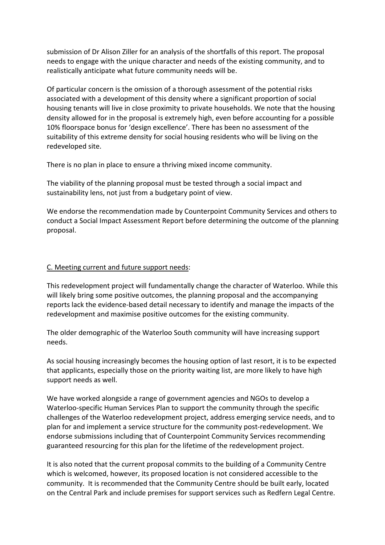submission of Dr Alison Ziller for an analysis of the shortfalls of this report. The proposal needs to engage with the unique character and needs of the existing community, and to realistically anticipate what future community needs will be.

Of particular concern is the omission of a thorough assessment of the potential risks associated with a development of this density where a significant proportion of social housing tenants will live in close proximity to private households. We note that the housing density allowed for in the proposal is extremely high, even before accounting for a possible 10% floorspace bonus for 'design excellence'. There has been no assessment of the suitability of this extreme density for social housing residents who will be living on the redeveloped site.

There is no plan in place to ensure a thriving mixed income community.

The viability of the planning proposal must be tested through a social impact and sustainability lens, not just from a budgetary point of view.

We endorse the recommendation made by Counterpoint Community Services and others to conduct a Social Impact Assessment Report before determining the outcome of the planning proposal.

#### C. Meeting current and future support needs:

This redevelopment project will fundamentally change the character of Waterloo. While this will likely bring some positive outcomes, the planning proposal and the accompanying reports lack the evidence-based detail necessary to identify and manage the impacts of the redevelopment and maximise positive outcomes for the existing community.

The older demographic of the Waterloo South community will have increasing support needs.

As social housing increasingly becomes the housing option of last resort, it is to be expected that applicants, especially those on the priority waiting list, are more likely to have high support needs as well.

We have worked alongside a range of government agencies and NGOs to develop a Waterloo-specific Human Services Plan to support the community through the specific challenges of the Waterloo redevelopment project, address emerging service needs, and to plan for and implement a service structure for the community post-redevelopment. We endorse submissions including that of Counterpoint Community Services recommending guaranteed resourcing for this plan for the lifetime of the redevelopment project.

It is also noted that the current proposal commits to the building of a Community Centre which is welcomed, however, its proposed location is not considered accessible to the community. It is recommended that the Community Centre should be built early, located on the Central Park and include premises for support services such as Redfern Legal Centre.